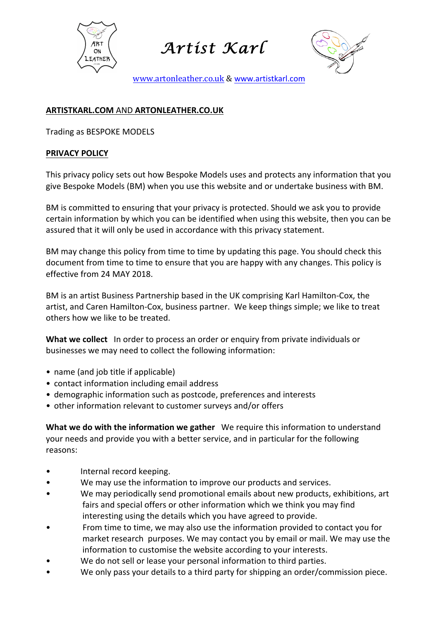

*Artist Karl* 



www.artonleather.co.uk & www.artistkarl.com

## **ARTISTKARL.COM** AND **ARTONLEATHER.CO.UK**

Trading as BESPOKE MODELS

## **PRIVACY POLICY**

This privacy policy sets out how Bespoke Models uses and protects any information that you give Bespoke Models (BM) when you use this website and or undertake business with BM.

BM is committed to ensuring that your privacy is protected. Should we ask you to provide certain information by which you can be identified when using this website, then you can be assured that it will only be used in accordance with this privacy statement.

BM may change this policy from time to time by updating this page. You should check this document from time to time to ensure that you are happy with any changes. This policy is effective from 24 MAY 2018.

BM is an artist Business Partnership based in the UK comprising Karl Hamilton-Cox, the artist, and Caren Hamilton-Cox, business partner. We keep things simple; we like to treat others how we like to be treated.

**What we collect** In order to process an order or enquiry from private individuals or businesses we may need to collect the following information:

- name (and job title if applicable)
- contact information including email address
- demographic information such as postcode, preferences and interests
- other information relevant to customer surveys and/or offers

**What we do with the information we gather** We require this information to understand your needs and provide you with a better service, and in particular for the following reasons: 

- Internal record keeping.
- We may use the information to improve our products and services.
- We may periodically send promotional emails about new products, exhibitions, art fairs and special offers or other information which we think you may find interesting using the details which you have agreed to provide.
- From time to time, we may also use the information provided to contact you for market research purposes. We may contact you by email or mail. We may use the information to customise the website according to your interests.
- We do not sell or lease your personal information to third parties.
- We only pass your details to a third party for shipping an order/commission piece.